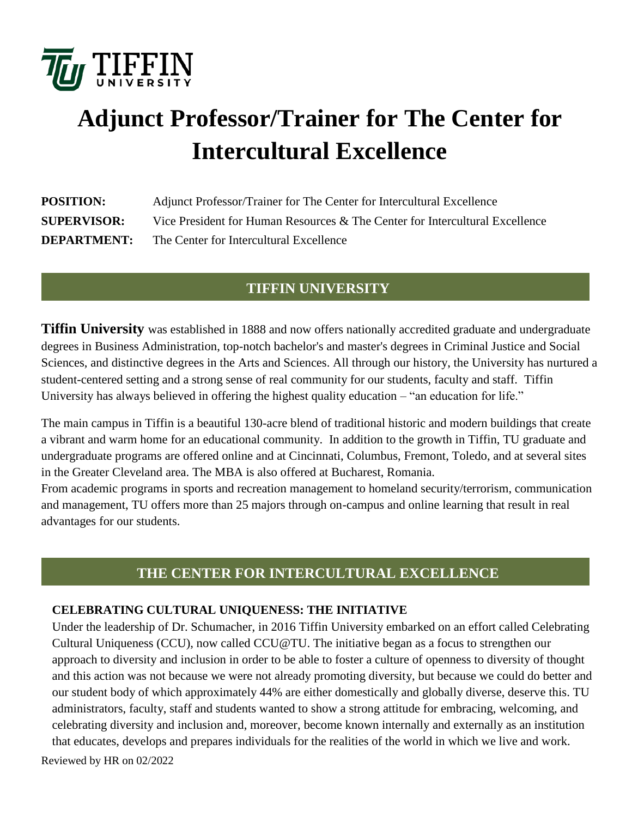

# **Adjunct Professor/Trainer for The Center for Intercultural Excellence**

| <b>POSITION:</b>   | Adjunct Professor/Trainer for The Center for Intercultural Excellence        |
|--------------------|------------------------------------------------------------------------------|
| <b>SUPERVISOR:</b> | Vice President for Human Resources & The Center for Intercultural Excellence |
| <b>DEPARTMENT:</b> | The Center for Intercultural Excellence                                      |

# **TIFFIN UNIVERSITY**

**Tiffin University** was established in 1888 and now offers nationally accredited graduate and undergraduate degrees in Business Administration, top-notch bachelor's and master's degrees in Criminal Justice and Social Sciences, and distinctive degrees in the Arts and Sciences. All through our history, the University has nurtured a student-centered setting and a strong sense of real community for our students, faculty and staff. Tiffin University has always believed in offering the highest quality education – "an education for life."

The main campus in Tiffin is a beautiful 130-acre blend of traditional historic and modern buildings that create a vibrant and warm home for an educational community. In addition to the growth in Tiffin, TU graduate and undergraduate programs are offered online and at Cincinnati, Columbus, Fremont, Toledo, and at several sites in the Greater Cleveland area. The MBA is also offered at Bucharest, Romania.

From academic programs in sports and recreation management to homeland security/terrorism, communication and management, TU offers more than 25 majors through on-campus and online learning that result in real advantages for our students.

# **THE CENTER FOR INTERCULTURAL EXCELLENCE**

#### **CELEBRATING CULTURAL UNIQUENESS: THE INITIATIVE**

Reviewed by HR on 02/2022 Under the leadership of Dr. Schumacher, in 2016 Tiffin University embarked on an effort called Celebrating Cultural Uniqueness (CCU), now called [CCU@TU.](mailto:CCU@TU) The initiative began as a focus to strengthen our approach to diversity and inclusion in order to be able to foster a culture of openness to diversity of thought and this action was not because we were not already promoting diversity, but because we could do better and our student body of which approximately 44% are either domestically and globally diverse, deserve this. TU administrators, faculty, staff and students wanted to show a strong attitude for embracing, welcoming, and celebrating diversity and inclusion and, moreover, become known internally and externally as an institution that educates, develops and prepares individuals for the realities of the world in which we live and work.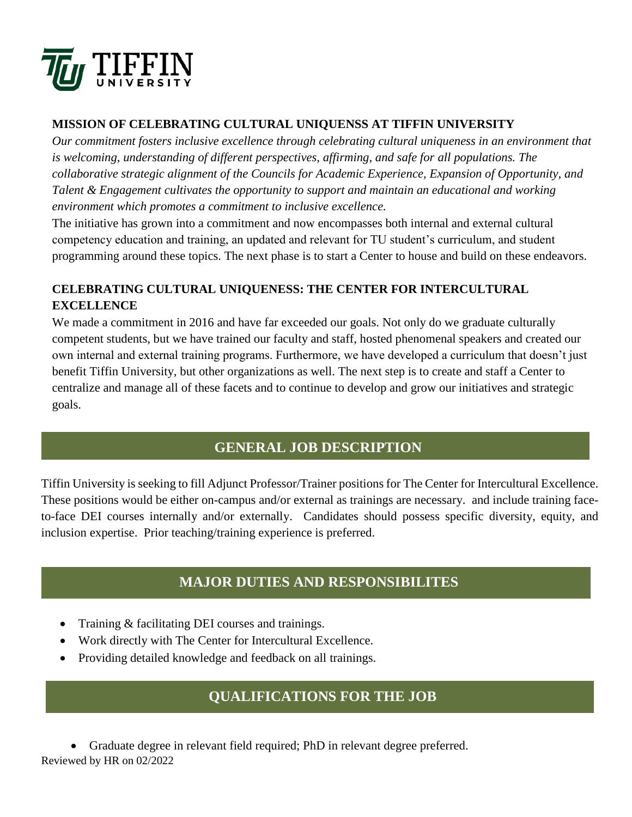

### **MISSION OF CELEBRATING CULTURAL UNIQUENSS AT TIFFIN UNIVERSITY**

*Our commitment fosters inclusive excellence through celebrating cultural uniqueness in an environment that is welcoming, understanding of different perspectives, affirming, and safe for all populations. The collaborative strategic alignment of the Councils for Academic Experience, Expansion of Opportunity, and Talent & Engagement cultivates the opportunity to support and maintain an educational and working environment which promotes a commitment to inclusive excellence.*

The initiative has grown into a commitment and now encompasses both internal and external cultural competency education and training, an updated and relevant for TU student's curriculum, and student programming around these topics. The next phase is to start a Center to house and build on these endeavors.

# **CELEBRATING CULTURAL UNIQUENESS: THE CENTER FOR INTERCULTURAL EXCELLENCE**

We made a commitment in 2016 and have far exceeded our goals. Not only do we graduate culturally competent students, but we have trained our faculty and staff, hosted phenomenal speakers and created our own internal and external training programs. Furthermore, we have developed a curriculum that doesn't just benefit Tiffin University, but other organizations as well. The next step is to create and staff a Center to centralize and manage all of these facets and to continue to develop and grow our initiatives and strategic goals.

# **GENERAL JOB DESCRIPTION**

Tiffin University is seeking to fill Adjunct Professor/Trainer positions for The Center for Intercultural Excellence. These positions would be either on-campus and/or external as trainings are necessary. and include training faceto-face DEI courses internally and/or externally. Candidates should possess specific diversity, equity, and inclusion expertise. Prior teaching/training experience is preferred.

# **MAJOR DUTIES AND RESPONSIBILITES**

- Training & facilitating DEI courses and trainings.
- Work directly with The Center for Intercultural Excellence.
- Providing detailed knowledge and feedback on all trainings.

# **QUALIFICATIONS FOR THE JOB**

Reviewed by HR on 02/2022 Graduate degree in relevant field required; PhD in relevant degree preferred.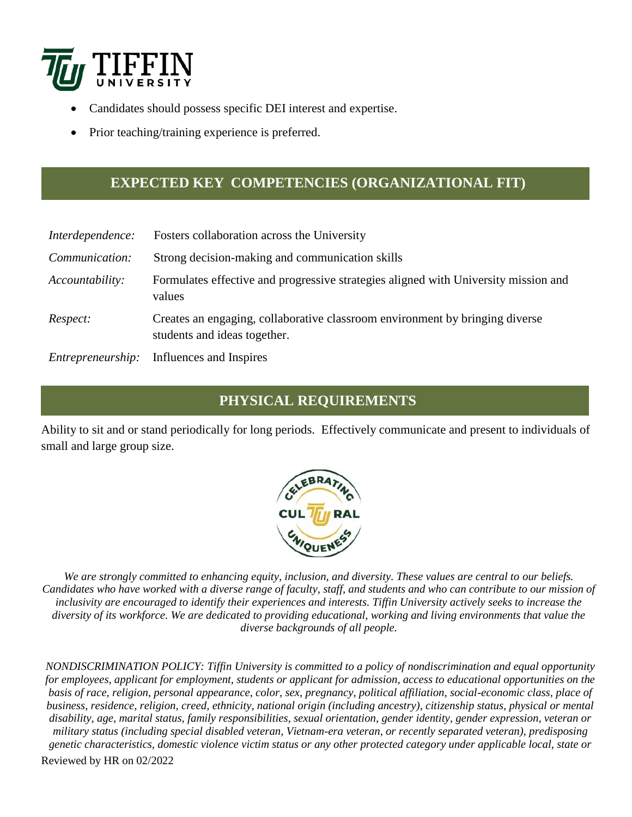

- Candidates should possess specific DEI interest and expertise.
- Prior teaching/training experience is preferred.

# **EXPECTED KEY COMPETENCIES (ORGANIZATIONAL FIT)**

| Interdependence:  | Fosters collaboration across the University                                                                  |
|-------------------|--------------------------------------------------------------------------------------------------------------|
| Communication:    | Strong decision-making and communication skills                                                              |
| Accountability:   | Formulates effective and progressive strategies aligned with University mission and<br>values                |
| Respect:          | Creates an engaging, collaborative classroom environment by bringing diverse<br>students and ideas together. |
| Entrepreneurship: | Influences and Inspires                                                                                      |

# **PHYSICAL REQUIREMENTS**

Ability to sit and or stand periodically for long periods. Effectively communicate and present to individuals of small and large group size.



*We are strongly committed to enhancing equity, inclusion, and diversity. These values are central to our beliefs. Candidates who have worked with a diverse range of faculty, staff, and students and who can contribute to our mission of inclusivity are encouraged to identify their experiences and interests. Tiffin University actively seeks to increase the diversity of its workforce. We are dedicated to providing educational, working and living environments that value the diverse backgrounds of all people.*

Reviewed by HR on 02/2022 *NONDISCRIMINATION POLICY: Tiffin University is committed to a policy of nondiscrimination and equal opportunity for employees, applicant for employment, students or applicant for admission, access to educational opportunities on the basis of race, religion, personal appearance, color, sex, pregnancy, political affiliation, social-economic class, place of business, residence, religion, creed, ethnicity, national origin (including ancestry), citizenship status, physical or mental disability, age, marital status, family responsibilities, sexual orientation, gender identity, gender expression, veteran or military status (including special disabled veteran, Vietnam-era veteran, or recently separated veteran), predisposing genetic characteristics, domestic violence victim status or any other protected category under applicable local, state or*